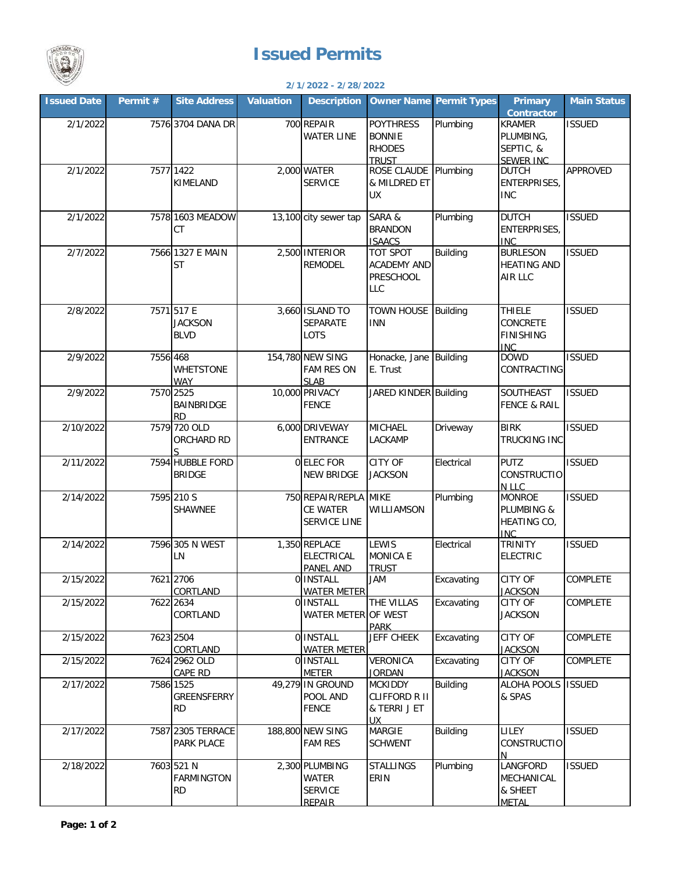

## **Issued Permits**

| 2/1/2022 - 2/28/2022 |          |                                              |                  |                                                                   |                                                                     |                                |                                                                    |                    |  |  |
|----------------------|----------|----------------------------------------------|------------------|-------------------------------------------------------------------|---------------------------------------------------------------------|--------------------------------|--------------------------------------------------------------------|--------------------|--|--|
| <b>Issued Date</b>   | Permit # | <b>Site Address</b>                          | <b>Valuation</b> | <b>Description</b>                                                |                                                                     | <b>Owner Name Permit Types</b> | Primary<br><b>Contractor</b>                                       | <b>Main Status</b> |  |  |
| 2/1/2022             |          | 7576 3704 DANA DR                            |                  | 700 REPAIR<br><b>WATER LINE</b>                                   | <b>POYTHRESS</b><br><b>BONNIE</b><br><b>RHODES</b><br><b>TRUST</b>  | Plumbing                       | <b>KRAMER</b><br>PLUMBING,<br>SEPTIC, &<br>SEWER INC               | <b>ISSUED</b>      |  |  |
| 2/1/2022             |          | 7577 1422<br>KIMELAND                        |                  | 2,000 WATER<br><b>SERVICE</b>                                     | ROSE CLAUDE Plumbing<br>& MILDRED ET<br><b>UX</b>                   |                                | <b>DUTCH</b><br>ENTERPRISES,<br><b>INC</b>                         | APPROVED           |  |  |
| 2/1/2022             |          | 7578 1603 MEADOW<br><b>CT</b>                |                  | 13,100 city sewer tap                                             | SARA &<br><b>BRANDON</b><br><b>ISAACS</b>                           | Plumbing                       | <b>DUTCH</b><br>ENTERPRISES,<br><b>INC</b>                         | <b>ISSUED</b>      |  |  |
| 2/7/2022             |          | 7566 1327 E MAIN<br>ST                       |                  | 2,500 INTERIOR<br><b>REMODEL</b>                                  | TOT SPOT<br><b>ACADEMY AND</b><br><b>PRESCHOOL</b><br><b>LLC</b>    | <b>Building</b>                | <b>BURLESON</b><br><b>HEATING AND</b><br>AIR LLC                   | <b>ISSUED</b>      |  |  |
| 2/8/2022             |          | 7571 517 E<br><b>JACKSON</b><br><b>BLVD</b>  |                  | 3,660 ISLAND TO<br><b>SEPARATE</b><br>LOTS                        | TOWN HOUSE Building<br><b>INN</b>                                   |                                | <b>THIELE</b><br><b>CONCRETE</b><br><b>FINISHING</b><br><b>INC</b> | <b>ISSUED</b>      |  |  |
| 2/9/2022             | 7556 468 | <b>WHETSTONE</b><br>WAY                      |                  | 154,780 NEW SING<br>FAM RES ON<br><b>SLAB</b>                     | Honacke, Jane Building<br>E. Trust                                  |                                | <b>DOWD</b><br>CONTRACTING                                         | <b>ISSUED</b>      |  |  |
| 2/9/2022             |          | 7570 2525<br>BAINBRIDGE<br>RD                |                  | 10,000 PRIVACY<br><b>FENCE</b>                                    | JARED KINDER Building                                               |                                | SOUTHEAST<br><b>FENCE &amp; RAIL</b>                               | <b>ISSUED</b>      |  |  |
| 2/10/2022            |          | 7579 720 OLD<br><b>ORCHARD RD</b><br>Ś       |                  | 6,000 DRIVEWAY<br><b>ENTRANCE</b>                                 | MICHAEL<br><b>LACKAMP</b>                                           | Driveway                       | <b>BIRK</b><br><b>TRUCKING INC</b>                                 | <b>ISSUED</b>      |  |  |
| 2/11/2022            |          | 7594 HUBBLE FORD<br><b>BRIDGE</b>            |                  | 0 ELEC FOR<br><b>NEW BRIDGE</b>                                   | <b>CITY OF</b><br><b>JACKSON</b>                                    | Electrical                     | <b>PUTZ</b><br><b>CONSTRUCTIO</b><br>N LLC                         | <b>ISSUED</b>      |  |  |
| 2/14/2022            |          | 7595 210 S<br><b>SHAWNEE</b>                 |                  | 750 REPAIR/REPLA MIKE<br>CE WATER<br>SERVICE LINE                 | WILLIAMSON                                                          | Plumbing                       | <b>MONROE</b><br>PLUMBING &<br>HEATING CO,<br><b>INC</b>           | <b>ISSUED</b>      |  |  |
| 2/14/2022            |          | 7596 305 N WEST<br>LN                        |                  | 1,350 REPLACE<br><b>ELECTRICAL</b><br><b>PANEL AND</b>            | LEWIS<br><b>MONICA E</b><br><b>TRUST</b>                            | Electrical                     | <b>TRINITY</b><br><b>ELECTRIC</b>                                  | <b>ISSUED</b>      |  |  |
| 2/15/2022            |          | 7621 2706<br>CORTLAND                        |                  | 0 INSTALL<br><b>WATER METER</b>                                   | <b>MAL</b>                                                          | Excavating                     | <b>CITY OF</b><br><b>JACKSON</b>                                   | COMPLETE           |  |  |
| 2/15/2022            |          | 7622 2634<br>CORTLAND                        |                  | 0 INSTALL<br>WATER METER OF WEST                                  | THE VILLAS<br><b>PARK</b>                                           | Excavating                     | CITY OF<br><b>JACKSON</b>                                          | COMPLETE           |  |  |
| 2/15/2022            |          | 7623 2504<br>CORTLAND                        |                  | 0 INSTALL<br><b>WATER METER</b>                                   | <b>JEFF CHEEK</b>                                                   | Excavating                     | CITY OF<br><b>JACKSON</b>                                          | COMPLETE           |  |  |
| 2/15/2022            |          | 7624 2962 OLD<br>CAPE RD                     |                  | 0 INSTALL<br><b>METER</b>                                         | VERONICA<br><b>JORDAN</b>                                           | Excavating                     | CITY OF<br><b>JACKSON</b>                                          | COMPLETE           |  |  |
| 2/17/2022            |          | 7586 1525<br>GREENSFERRY<br>RD               |                  | 49,279 IN GROUND<br>POOL AND<br><b>FENCE</b>                      | <b>MCKIDDY</b><br><b>CLIFFORD R II</b><br>& TERRI J ET<br><b>UX</b> | <b>Building</b>                | ALOHA POOLS<br>& SPAS                                              | <b>ISSUED</b>      |  |  |
| 2/17/2022            |          | 7587 2305 TERRACE<br>PARK PLACE              |                  | 188,800 NEW SING<br><b>FAM RES</b>                                | <b>MARGIE</b><br><b>SCHWENT</b>                                     | <b>Building</b>                | <b>LILEY</b><br><b>CONSTRUCTIO</b><br>N                            | <b>ISSUED</b>      |  |  |
| 2/18/2022            |          | 7603 521 N<br><b>FARMINGTON</b><br><b>RD</b> |                  | 2,300 PLUMBING<br><b>WATER</b><br><b>SERVICE</b><br><b>REPAIR</b> | <b>STALLINGS</b><br>ERIN                                            | Plumbing                       | LANGFORD<br>MECHANICAL<br>& SHEET<br><b>METAL</b>                  | <b>ISSUED</b>      |  |  |